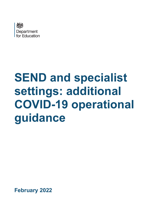

# **SEND and specialist settings: additional COVID-19 operational guidance**

**February 2022**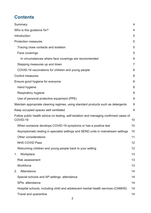# **Contents**

| Summary                                                                                            | $\overline{4}$ |
|----------------------------------------------------------------------------------------------------|----------------|
| Who is this guidance for?                                                                          | 4              |
| Introduction                                                                                       | 5              |
| <b>Protection measures</b>                                                                         | 5              |
| Tracing close contacts and isolation                                                               | 5              |
| Face coverings                                                                                     | 5              |
| In circumstances where face coverings are recommended                                              | 6              |
| Stepping measures up and down                                                                      | $\overline{7}$ |
| COVID-19 vaccinations for children and young people                                                | 8              |
| <b>Control measures</b>                                                                            | 8              |
| Ensure good hygiene for everyone                                                                   | 8              |
| Hand hygiene                                                                                       | 8              |
| Respiratory hygiene                                                                                | 8              |
| Use of personal protective equipment (PPE)                                                         | 9              |
| Maintain appropriate cleaning regimes, using standard products such as detergents                  | 9              |
| Keep occupied spaces well ventilated                                                               | 9              |
| Follow public health advice on testing, self-isolation and managing confirmed cases of<br>COVID-19 | 10             |
| When someone develops COVID-19 symptoms or has a positive test                                     | 10             |
| Asymptomatic testing in specialist settings and SEND units in mainstream settings                  | 10             |
| <b>Other considerations</b>                                                                        | 11             |
| <b>NHS COVID Pass</b>                                                                              | 12             |
| Welcoming children and young people back to your setting                                           | 12             |
| Workplace<br>1 <sub>1</sub>                                                                        | 13             |
| <b>Risk assessment</b>                                                                             | 13             |
| Workforce                                                                                          | 13             |
| Attendance<br>2.                                                                                   | 14             |
| Special schools and AP settings: attendance                                                        | 14             |
| SPIs: attendance                                                                                   | 14             |
| Hospital schools, including child and adolescent mental health services (CAMHS)                    | 14             |
| Travel and quarantine                                                                              | 14             |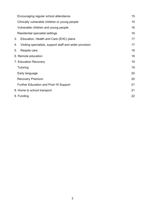| Encouraging regular school attendance                         | 15 |
|---------------------------------------------------------------|----|
| Clinically vulnerable children or young people                | 15 |
| Vulnerable children and young people                          | 16 |
| Residential specialist settings                               | 16 |
| 3.<br>Education, Health and Care (EHC) plans                  | 17 |
| Visiting specialists, support staff and wider provision<br>4. | 17 |
| Respite care<br>5.                                            | 18 |
| 6. Remote education                                           | 18 |
| 7. Education Recovery                                         | 19 |
| Tutoring                                                      | 19 |
| Early language                                                | 20 |
| <b>Recovery Premium</b>                                       | 20 |
| <b>Further Education and Post-16 Support</b>                  | 21 |
| 8. Home to school transport                                   | 21 |
| 9. Funding                                                    | 22 |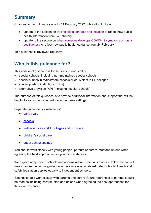## <span id="page-3-0"></span>**Summary**

Changes to the guidance since its 21 February 2022 publication include:

- update to the section on [tracing close contacts and isolation](#page-4-2) to reflect new public health information from 24 February
- update to the section on [when someone develops COVID-19 symptoms or has a](#page-9-1)  [positive test](#page-9-1) to reflect new public health guidance from 24 February

<span id="page-3-1"></span>This guidance is reviewed regularly.

# **Who is this guidance for?**

This additional guidance is for the leaders and staff of:

- special schools, including non-maintained special schools
- specialist units in mainstream schools or equivalent in FE colleges
- special post-16 institutions (SPIs)
- alternative provision (AP) (including hospital schools)

The purpose of this guidance is to provide additional information and support that will be helpful to you in delivering education in these settings.

Separate guidance is available for:

- [early years](https://www.gov.uk/government/publications/coronavirus-covid-19-early-years-and-childcare-closures)
- [schools](https://www.gov.uk/government/publications/actions-for-schools-during-the-coronavirus-outbreak)
- [further education \(FE colleges and providers\)](https://www.gov.uk/government/publications/coronavirus-covid-19-maintaining-further-education-provision)
- [children's social care](https://www.gov.uk/government/publications/coronavirus-covid-19-guidance-for-childrens-social-care-services)
- [out of school settings](https://www.gov.uk/government/publications/protective-measures-for-holiday-or-after-school-clubs-and-other-out-of-school-settings-for-children-during-the-coronavirus-covid-19-outbreak)

You should work closely with young people, parents or carers, staff and unions when agreeing the best approaches for your circumstances.

We expect independent schools and non-maintained special schools to follow the control measures set out in this guidance in the same way as state-funded schools. Health and safety legislation applies equally to independent schools.

Settings should work closely with parents and carers (future references to parents should be read as including carers), staff and unions when agreeing the best approaches for their circumstances.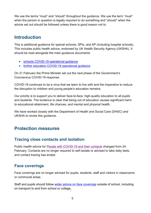We use the terms "must" and "should" throughout the guidance. We use the term "must" when the person in question is legally required to do something and "should" when the advice set out should be followed unless there is good reason not to.

## <span id="page-4-0"></span>**Introduction**

This is additional guidance for special schools, SPIs, and AP (including hospital schools). This includes public health advice, endorsed by UK Health Security Agency (UKSHA). It should be read alongside the main guidance documents:

- [schools COVID-19 operational guidance](https://www.gov.uk/government/publications/actions-for-schools-during-the-coronavirus-outbreak)
- [further education COVID-19 operational guidance](https://www.gov.uk/government/publications/coronavirus-covid-19-maintaining-further-education-provision)

On 21 February the Prime Minister set out the next phase of the Government's Coronavirus COVID-19 response.

COVID-19 continues to be a virus that we learn to live with and the imperative to reduce the disruption to children and young people's education remains.

Our priority is to support you to deliver face-to-face, high-quality education to all pupils and students. The evidence is clear that being out of education causes significant harm to educational attainment, life chances, and mental and physical health.

We have worked closely with the Department of Health and Social Care (DHSC) and UKSHA to revise this guidance.

## <span id="page-4-1"></span>**Protection measures**

#### <span id="page-4-2"></span>**Tracing close contacts and isolation**

Public health advice for [People with COVID-19 and their contacts](https://www.gov.uk/government/publications/covid-19-people-with-covid-19-and-their-contacts/covid-19-people-with-covid-19-and-their-contacts) changed from 24 February. Contacts are no longer required to self-isolate or advised to take daily tests, and contact tracing has ended.

#### <span id="page-4-3"></span>**Face coverings**

Face coverings are no longer advised for pupils, students, staff and visitors in classrooms or communal areas.

Staff and pupils should follow [wider advice on face coverings](https://www.gov.uk/government/publications/face-coverings-when-to-wear-one-and-how-to-make-your-own/face-coverings-when-to-wear-one-and-how-to-make-your-own) outside of school, including on transport to and from school or college.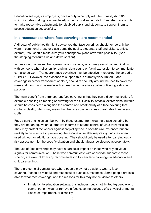Education settings, as employers, have a duty to comply with the Equality Act 2010 which includes making reasonable adjustments for disabled staff. They also have a duty to make reasonable adjustments for disabled pupils and students, to support them to access education successfully.

#### <span id="page-5-0"></span>**In circumstances where face coverings are recommended**

A director of public health might advise you that face coverings should temporarily be worn in communal areas or classrooms (by pupils, students, staff and visitors, unless exempt). You should make sure your contingency plans cover this possibility. (See the stepping [measures up and down](https://webarchive.nationalarchives.gov.uk/ukgwa/20211104183517mp_/https:/www.gov.uk/government/publications/actions-for-schools-during-the-coronavirus-outbreak/schools-covid-19-operational-guidance#stepping-measures-up-and-down) section).

In these circumstances, transparent face coverings, which may assist communication with someone who relies on lip reading, clear sound or facial expression to communicate, can also be worn. Transparent face coverings may be effective in reducing the spread of COVID-19. However, the evidence to support this is currently very limited. Face coverings (whether transparent or cloth) should fit securely around the face to cover the nose and mouth and be made with a breathable material capable of filtering airborne particles.

The main benefit from a transparent face covering is that they can aid communication, for example enabling lip-reading or allowing for the full visibility of facial expressions, but this should be considered alongside the comfort and breathability of a face covering that contains plastic, which may mean that the face covering is less breathable than layers of cloth.

Face visors or shields can be worn by those exempt from wearing a face covering but they are not an equivalent alternative in terms of source control of virus transmission. They may protect the wearer against droplet spread in specific circumstances but are unlikely to be effective in preventing the escape of smaller respiratory particles when used without an additional face covering. They should only be used after carrying out a risk assessment for the specific situation and should always be cleaned appropriately.

The use of face coverings may have a particular impact on those who rely on visual signals for communication. Those who communicate with or provide support to those who do, are exempt from any recommendation to wear face coverings in education and childcare settings.

There are some circumstances where people may not be able to wear a face covering. Please be mindful and respectful of such circumstances. Some people are less able to wear face coverings, and the reasons for this may not be visible to others.

• In relation to education settings, this includes (but is not limited to):people who cannot put on, wear or remove a face covering because of a physical or mental illness or impairment, or disability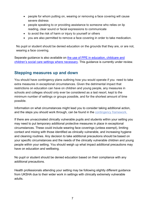- people for whom putting on, wearing or removing a face covering will cause severe distress
- people speaking to or providing assistance to someone who relies on lip reading, clear sound or facial expressions to communicate
- to avoid the risk of harm or injury to yourself or others
- you are also permitted to remove a face covering in order to take medication.

No pupil or student should be denied education on the grounds that they are, or are not, wearing a face covering.

Separate guidance is also available on [the use of PPE in education, childcare and](https://www.gov.uk/government/publications/safe-working-in-education-childcare-and-childrens-social-care/the-use-of-personal-protective-equipment-ppe-in-education-childcare-and-childrens-social-care-settings-including-for-aerosol-generating-procedure)  [children's social care settings](https://www.gov.uk/government/publications/safe-working-in-education-childcare-and-childrens-social-care/the-use-of-personal-protective-equipment-ppe-in-education-childcare-and-childrens-social-care-settings-including-for-aerosol-generating-procedure) where necessary. This guidance is currently under review.

#### <span id="page-6-0"></span>**Stepping measures up and down**

You should have contingency plans outlining how you would operate if you need to take extra measures in exceptional circumstances. Given the detrimental impact that restrictions on education can have on children and young people, any measures in schools and colleges should only ever be considered as a last resort, kept to the minimum number of settings or groups possible, and for the shortest amount of time possible.

Information on what circumstances might lead you to consider taking additional action, and the steps you should work through, can be found in the [contingency framework.](https://www.gov.uk/government/publications/coronavirus-covid-19-local-restrictions-in-education-and-childcare-settings/contingency-framework-education-and-childcare-settings)

If there are unvaccinated clinically vulnerable pupils and students within your setting you may need to put temporary additional protective measures in place in exceptional circumstances. These could include wearing face coverings (unless exempt), limiting contact and mixing with those identified as clinically vulnerable, and increasing hygiene and cleaning routines. Any decision to take additional precautions should be based on your specific circumstances and the needs of the clinically vulnerable children and young people within your setting. You should weigh up what impact additional precautions may have on education and wellbeing.

No pupil or student should be denied education based on their compliance with any additional precautions.

Health professionals attending your setting may be following slightly different guidance from UKSHA due to their wider work in settings with clinically extremely vulnerable adults.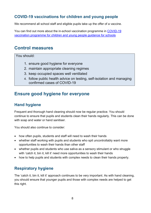## <span id="page-7-0"></span>**COVID-19 vaccinations for children and young people**

We recommend all school staff and eligible pupils take up the offer of a vaccine.

You can find out more about the in-school vaccination programme in [COVID-19](https://www.gov.uk/government/publications/covid-19-vaccination-resources-for-schools/covid-19-vaccination-programme-for-children-and-young-people-guidance-for-schools)  [vaccination programme for children and young people guidance for schools](https://www.gov.uk/government/publications/covid-19-vaccination-resources-for-schools/covid-19-vaccination-programme-for-children-and-young-people-guidance-for-schools)

## <span id="page-7-1"></span>**Control measures**

You should:

- 1. ensure good hygiene for everyone
- 2. maintain appropriate cleaning regimes
- 3. keep occupied spaces well ventilated
- 4. follow public health advice on testing, self-isolation and managing confirmed cases of COVID-19

## <span id="page-7-2"></span>**Ensure good hygiene for everyone**

#### <span id="page-7-3"></span>**Hand hygiene**

Frequent and thorough hand cleaning should now be regular practice. You should continue to ensure that pupils and students clean their hands regularly. This can be done with soap and water or hand sanitiser.

You should also continue to consider:

- how often pupils, students and staff will need to wash their hands
- whether staff working with pupils and students who spit uncontrollably want more opportunities to wash their hands than other staff
- whether pupils and students who use saliva as a sensory stimulant or who struggle with 'catch it, bin it, kill it' need more opportunities to wash their hands
- how to help pupils and students with complex needs to clean their hands properly.

#### <span id="page-7-4"></span>**Respiratory hygiene**

The 'catch it, bin it, kill it' approach continues to be very important. As with hand cleaning, you should ensure that younger pupils and those with complex needs are helped to get this right.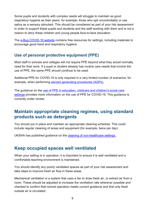Some pupils and students with complex needs will struggle to maintain as good respiratory hygiene as their peers, for example, those who spit uncontrollably or use saliva as a sensory stimulant. This should be considered as part of your risk assessment in order to support these pupils and students and the staff working with them and is not a reason to deny these children and young people face-to-face education.

The [e-Bug COVID-19 website](https://e-bug.eu/eng_home.aspx?cc=eng&ss=1&t=Information%20about%20the%20Coronavirus) contains free resources for settings, including materials to encourage good hand and respiratory hygiene.

## <span id="page-8-0"></span>**Use of personal protective equipment (PPE)**

Most staff in schools and colleges will not require PPE beyond what they would normally need for their work. If a pupil or student already has routine care needs that involve the use of PPE, the same PPE should continue to be used.

Additional PPE for COVID-19 is only required in a very limited number of scenarios, for example, when performing [aerosol generating procedures \(AGPs\).](https://www.gov.uk/government/publications/safe-working-in-education-childcare-and-childrens-social-care/safe-working-in-education-childcare-and-childrens-social-care-settings-including-the-use-of-personal-protective-equipment-ppe#aerosol-generating-procedures-agps)

The guidance on the use of PPE in education, childcare and children's social care [settings](https://www.gov.uk/government/publications/safe-working-in-education-childcare-and-childrens-social-care) provides more information on the use of PPE for COVID-19. This guidance is currently under review.

## <span id="page-8-1"></span>**Maintain appropriate cleaning regimes, using standard products such as detergents**

You should put in place and maintain an appropriate cleaning schedule. This could include regular cleaning of areas and equipment (for example, twice per day).

UKSHA has published guidance on the [cleaning of non-healthcare settings.](https://www.gov.uk/government/publications/covid-19-decontamination-in-non-healthcare-settings) 

#### <span id="page-8-2"></span>**Keep occupied spaces well ventilated**

When your setting is in operation, it is important to ensure it is well ventilated and a comfortable teaching environment is maintained.

You should identify any poorly ventilated spaces as part of your risk assessment and take steps to improve fresh air flow in these areas.

Mechanical ventilation is a system that uses a fan to draw fresh air, or extract air from a room. These should be adjusted to increase the ventilation rate wherever possible and checked to confirm that normal operation meets current guidance and that only fresh outside air is circulated.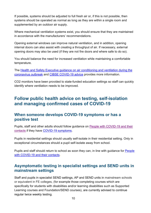If possible, systems should be adjusted to full fresh air or, if this is not possible, then systems should be operated as normal as long as they are within a single room and supplemented by an outdoor air supply.

Where mechanical ventilation systems exist, you should ensure that they are maintained in accordance with the manufacturers' recommendations.

Opening external windows can improve natural ventilation, and in addition, opening internal doors can also assist with creating a throughput of air. If necessary, external opening doors may also be used (if they are not fire doors and where safe to do so).

You should balance the need for increased ventilation while maintaining a comfortable temperature.

The [Health and Safety Executive guidance on air conditioning and ventilation during the](https://www.hse.gov.uk/coronavirus/equipment-and-machinery/air-conditioning-and-ventilation.htm)  [coronavirus outbreak](https://www.hse.gov.uk/coronavirus/equipment-and-machinery/air-conditioning-and-ventilation.htm) and [CIBSE COVID-19 advice](https://www.cibse.org/coronavirus-covid-19) provides more information.

CO2 monitors have been provided to state-funded education settings so staff can quickly identify where ventilation needs to be improved.

## <span id="page-9-0"></span>**Follow public health advice on testing, self-isolation and managing confirmed cases of COVID-19**

#### <span id="page-9-1"></span>**When someone develops COVID-19 symptoms or has a positive test**

Pupils, staff and other adults should follow guidance on [People with COVID-19 and their](https://www.gov.uk/government/publications/covid-19-people-with-covid-19-and-their-contacts)  [contacts](https://www.gov.uk/government/publications/covid-19-people-with-covid-19-and-their-contacts) if they have [COVID-19 symptoms.](https://www.nhs.uk/conditions/coronavirus-covid-19/symptoms/)

Pupils in residential settings should usually self-isolate in their residential setting. Only in exceptional circumstances should a pupil self-isolate away from school.

Pupils and staff should return to school as soon they can, in line with guidance for [People](https://www.gov.uk/government/publications/covid-19-people-with-covid-19-and-their-contacts)  [with COVID-19 and their contacts.](https://www.gov.uk/government/publications/covid-19-people-with-covid-19-and-their-contacts)

#### <span id="page-9-2"></span>**Asymptomatic testing in specialist settings and SEND units in mainstream settings**

Staff and pupils in specialist SEND settings, AP and SEND units in mainstream schools or equivalent in FE colleges, (for example those completing courses which are specifically for students with disabilities and/or learning disabilities such as Supported Learning courses and Foundation/SEND courses), are currently advised to continue regular twice weekly testing.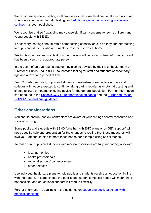We recognise specialist settings will have additional considerations to take into account when delivering asymptomatic testing, and additional guidance on testing in specialist [settings](https://www.gov.uk/government/publications/guidance-for-full-opening-special-schools-and-other-specialist-settings/rapid-asymptomatic-testing-in-specialist-settings) has been published.

We recognise that self-swabbing may cause significant concerns for some children and young people with SEND.

If necessary, settings should retain some testing capacity on site so they can offer testing to pupils and students who are unable to test themselves at home.

Testing is voluntary and no child or young person will be tested unless informed consent has been given by the appropriate person.

In the event of an outbreak, a setting may also be advised by their local health team or Director of Public Health (DPH) to increase testing for staff and students of secondary age and above for a period of time.

From 21 February, staff, pupils and students in mainstream secondary schools and colleges will not be expected to continue taking part in regular asymptomatic testing and should follow asymptomatic testing advice for the general population. Further information can be found in the [Schools COVID-19 operational guidance](https://assets.publishing.service.gov.uk/government/uploads/system/uploads/attachment_data/file/1050624/Schools_COVID-19_operational_guidance_Jan_2022.pdf) and the [Further education](https://www.gov.uk/government/publications/coronavirus-covid-19-maintaining-further-education-provision)  [COVID-19 operational guidance](https://www.gov.uk/government/publications/coronavirus-covid-19-maintaining-further-education-provision)

#### <span id="page-10-0"></span>**Other considerations**

You should ensure that key contractors are aware of your settings control measures and ways of working.

Some pupils and students with SEND (whether with EHC plans or on SEN support) will need specific help and preparation for the changes to routine that these measures will involve. Staff should plan to meet these needs, for example using social stories.

To make sure pupils and students with medical conditions are fully supported, work with:

- local authorities
- health professionals
- regional schools' commissioners
- other services

Use individual healthcare plans to help pupils and students receive an education in line with their peers. In some cases, the pupil's and student's medical needs will mean this is not possible, and educational support will require flexibility.

Further information is available in the guidance on [supporting pupils at school with](https://www.gov.uk/government/publications/supporting-pupils-at-school-with-medical-conditions--3)  [medical conditions.](https://www.gov.uk/government/publications/supporting-pupils-at-school-with-medical-conditions--3)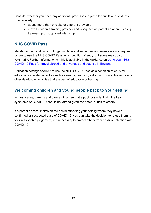Consider whether you need any additional processes in place for pupils and students who regularly:

- attend more than one site or different providers
- move between a training provider and workplace as part of an apprenticeship, traineeship or supported internship.

#### <span id="page-11-0"></span>**NHS COVID Pass**

Mandatory certification is no longer in place and so venues and events are not required by law to use the NHS COVID Pass as a condition of entry, but some may do so voluntarily. Further information on this is available in the guidance on [using your NHS](https://www.gov.uk/guidance/nhs-covid-pass)  [COVID-19 Pass for travel abroad and at venues and settings in England.](https://www.gov.uk/guidance/nhs-covid-pass)

Education settings should not use the NHS COVID Pass as a condition of entry for education or related activities such as exams, teaching, extra-curricular activities or any other day-to-day activities that are part of education or training

## <span id="page-11-1"></span>**Welcoming children and young people back to your setting**

In most cases, parents and carers will agree that a pupil or student with the key symptoms or COVID-19 should not attend given the potential risk to others.

If a parent or carer insists on their child attending your setting where they have a confirmed or suspected case of COVID-19, you can take the decision to refuse them if, in your reasonable judgement, it is necessary to protect others from possible infection with COVID-19.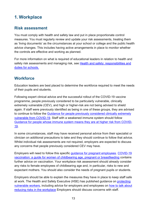# <span id="page-12-0"></span>**1. Workplace**

#### <span id="page-12-1"></span>**Risk assessment**

You must comply with health and safety law and put in place proportionate control measures. You must regularly review and update your risk assessments, treating them as 'living documents' as the circumstances at your school or college and the public health advice changes. This includes having active arrangements in place to monitor whether the controls are effective and working as planned.

For more information on what is required of educational leaders in relation to health and safety risk assessments and managing risk, see Health and safety; responsibilities and [duties for schools.](https://www.gov.uk/government/publications/health-and-safety-advice-for-schools)

#### <span id="page-12-2"></span>**Workforce**

Education leaders are best placed to determine the workforce required to meet the needs of their pupils and students.

Following expert clinical advice and the successful rollout of the COVID-19 vaccine programme, people previously considered to be particularly vulnerable, clinically extremely vulnerable (CEV), and high or higher-risk are not being advised to shield again. If staff were previously identified as being in one of these groups, they are advised to continue to follow the [Guidance for people previously considered clinically extremely](https://www.gov.uk/government/publications/guidance-on-shielding-and-protecting-extremely-vulnerable-persons-from-covid-19/guidance-on-shielding-and-protecting-extremely-vulnerable-persons-from-covid-19)  [vulnerable from COVID-19.](https://www.gov.uk/government/publications/guidance-on-shielding-and-protecting-extremely-vulnerable-persons-from-covid-19/guidance-on-shielding-and-protecting-extremely-vulnerable-persons-from-covid-19) Staff with a weakened immune system should follow [Guidance for people whose immune system means they are at higher risk from COVID-](https://www.gov.uk/government/publications/covid-19-guidance-for-people-whose-immune-system-means-they-are-at-higher-risk/covid-19-guidance-for-people-whose-immune-system-means-they-are-at-higher-risk)[19.](https://www.gov.uk/government/publications/covid-19-guidance-for-people-whose-immune-system-means-they-are-at-higher-risk/covid-19-guidance-for-people-whose-immune-system-means-they-are-at-higher-risk)

In some circumstances, staff may have received personal advice from their specialist or clinician on additional precautions to take and they should continue to follow that advice. Whilst individual risk assessments are not required, employers are expected to discuss any concerns that people previously considered CEV may have.

Employers will need to follow this specific [guidance for pregnant employees.](https://www.gov.uk/government/publications/coronavirus-covid-19-advice-for-pregnant-employees/coronavirus-covid-19-advice-for-pregnant-employees) [COVID-19](https://www.gov.uk/government/publications/covid-19-vaccination-women-of-childbearing-age-currently-pregnant-planning-a-pregnancy-or-breastfeeding)  [vaccination: a guide for women of childbearing age, pregnant or breastfeeding](https://www.gov.uk/government/publications/covid-19-vaccination-women-of-childbearing-age-currently-pregnant-planning-a-pregnancy-or-breastfeeding) contains further advice on vaccination. Your workplace risk assessment should already consider any risks to female employees of childbearing age and, in particular, risks to new and expectant mothers. You should also consider the needs of pregnant pupils or students.

Employers should be able to explain the measures they have in place to keep staff safe at work. The Health and Safety Executive (HSE) has published guidance on [protecting](https://www.hse.gov.uk/coronavirus/working-safely/protect-people.htm)  [vulnerable workers,](https://www.hse.gov.uk/coronavirus/working-safely/protect-people.htm) including advice for employers and employees on [how to talk about](https://www.hse.gov.uk/coronavirus/working-safely/talking-to-your-workers/index.htm)  [reducing risks in the workplace](https://www.hse.gov.uk/coronavirus/working-safely/talking-to-your-workers/index.htm) Employers should discuss concerns with staff.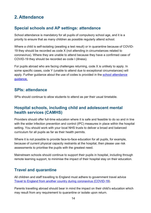# <span id="page-13-0"></span>**2. Attendance**

## <span id="page-13-1"></span>**Special schools and AP settings: attendance**

School attendance is mandatory for all pupils of compulsory school age, and it is a priority to ensure that as many children as possible regularly attend school.

Where a child is self-isolating (awaiting a test result) or in quarantine because of COVID-19 they should be recorded as code X (not attending in circumstances related to coronavirus). Where they are unable to attend because they have a confirmed case of COVID-19 they should be recorded as code I (illness).

For pupils abroad who are facing challenges returning, code X is unlikely to apply. In some specific cases, code Y (unable to attend due to exceptional circumstances) will apply. Further guidance about the use of codes is provided in the school attendance [guidance.](https://www.gov.uk/government/publications/school-attendance)

#### <span id="page-13-2"></span>**SPIs: attendance**

SPIs should continue to allow students to attend as per their usual timetable.

#### <span id="page-13-3"></span>**Hospital schools, including child and adolescent mental health services (CAMHS)**

Providers should offer full-time education where it is safe and feasible to do so and in line with the wider infection prevention and control (IPC) measures in place within the hospital setting. You should work with your local NHS trusts to deliver a broad and balanced curriculum for all pupils as far as their health permits.

Where it is not possible to provide face-to-face education for all pupils, for example, because of current physical capacity restraints at the hospital, then please use risk assessments to prioritise the pupils with the greatest need.

Mainstream schools should continue to support their pupils in hospital, including through remote learning support, to minimise the impact of their hospital stay on their education.

## <span id="page-13-4"></span>**Travel and quarantine**

All children and staff travelling to England must adhere to government travel advice [Travel to England from another country during coronavirus \(COVID-19\)](https://www.gov.uk/guidance/travel-to-england-from-another-country-during-coronavirus-covid-19).

Parents travelling abroad should bear in mind the impact on their child's education which may result from any requirement to quarantine or isolate upon return.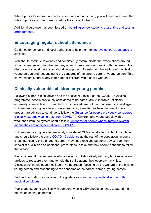Where pupils travel from abroad to attend a boarding school, you will need to explain the rules to pupils and their parents before they travel to the UK.

Additional guidance has been issued on [boarding school students quarantine and](https://www.gov.uk/government/publications/boarding-school-students-quarantine-and-testing-arrangements) testing [arrangements.](https://www.gov.uk/government/publications/boarding-school-students-quarantine-and-testing-arrangements)

## <span id="page-14-0"></span>**Encouraging regular school attendance**

Guidance for schools and local authorities to help them to [improve school attendance](https://www.gov.uk/government/publications/school-attendance/framework-for-securing-full-attendance-actions-for-schools-and-local-authorities) is available.

You should continue to clearly and consistently communicate the expectations around school attendance to families and any other professionals who work with the family. Any discussions should have a collaborative approach, focusing on the welfare of the child or young person and responding to the concerns of the parent, carer or young person. This conversation is particularly important for children with a social worker.

#### <span id="page-14-1"></span>**Clinically vulnerable children or young people**

Following expert clinical advice and the successful rollout of the COVID-19 vaccine programme, people previously considered to be particularly vulnerable, clinically extremely vulnerable (CEV) and high or higher-risk are not being advised to shield again. Children and young people who were previously identified as being in one of these groups, are advised to continue to follow the [Guidance for people previously considered](https://www.gov.uk/government/publications/guidance-on-shielding-and-protecting-extremely-vulnerable-persons-from-covid-19/guidance-on-shielding-and-protecting-extremely-vulnerable-persons-from-covid-19)  [clinically extremely vulnerable from COVID-19.](https://www.gov.uk/government/publications/guidance-on-shielding-and-protecting-extremely-vulnerable-persons-from-covid-19/guidance-on-shielding-and-protecting-extremely-vulnerable-persons-from-covid-19) Children and young people with a weakened immune system should follow [Guidance for people whose immune system](https://www.gov.uk/government/publications/covid-19-guidance-for-people-whose-immune-system-means-they-are-at-higher-risk/covid-19-guidance-for-people-whose-immune-system-means-they-are-at-higher-risk)  [means they are at higher risk from COVID-19.](https://www.gov.uk/government/publications/covid-19-guidance-for-people-whose-immune-system-means-they-are-at-higher-risk/covid-19-guidance-for-people-whose-immune-system-means-they-are-at-higher-risk)

Children and young people previously considered CEV should attend school or college and should follow the same [COVID-19 guidance](https://www.gov.uk/coronavirus) as the rest of the population. In some circumstances, a child or young person may have received personal advice from their specialist or clinician on additional precautions to take and they should continue to follow that advice.

We recommend that leaders in education work collaboratively with any families who are anxious to reassure them and to help their child attend their everyday activities. Discussions should have a collaborative approach, focusing on the welfare of the child or young person and responding to the concerns of the parent, carer or young person.

Further information is available in the guidance on [supporting pupils at school with](https://www.gov.uk/government/publications/supporting-pupils-at-school-with-medical-conditions--3)  [medical conditions.](https://www.gov.uk/government/publications/supporting-pupils-at-school-with-medical-conditions--3)

Pupils and students who live with someone who is CEV should continue to attend their education setting as normal.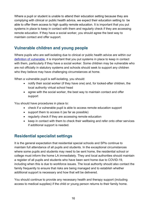Where a pupil or student is unable to attend their education setting because they are complying with clinical or public health advice, we expect their education setting to be able to offer them access to high quality remote education. It is important that you put systems in place to keep in contact with them and regularly check if they are accessing remote education. If they have a social worker, you should agree the best way to maintain contact and offer support.

## <span id="page-15-0"></span>**Vulnerable children and young people**

Where pupils who are self-isolating due to clinical or public health advice are within our [definition of vulnerable,](https://www.gov.uk/government/publications/coronavirus-covid-19-maintaining-educational-provision/guidance-for-schools-colleges-and-local-authorities-on-maintaining-educational-provision) it is important that you put systems in place to keep in contact with them, particularly if they have a social worker. Some children may be vulnerable who are not officially in statutory systems and schools should seek to support any children who they believe may have challenging circumstances at home.

When a vulnerable pupil is self-isolating, you should:

- notify their social worker (if they have one) and, for looked-after children, the local authority virtual school head
- agree with the social worker, the best way to maintain contact and offer support

You should have procedures in place to:

- check if a vulnerable pupil is able to access remote education support
- support them to access it (as far as possible)
- regularly check if they are accessing remote education
- keep in contact with them to check their wellbeing and refer onto other services if additional support is needed.

#### <span id="page-15-1"></span>**Residential specialist settings**

It is the general expectation that residential special schools and SPIs continue to maintain full attendance of all pupils and students. In the exceptional circumstances where some pupils and students may need to be sent home, the residential school or college must inform the home LA immediately. They and local authorities should maintain a register of all pupils and students who have been sent home due to COVID-19, including when this is due to workforce issues. The local authority should also contact the family frequently to ensure that risks are being managed and to establish whether additional support is necessary and how that will be delivered.

You should continue to provide any necessary health and therapy support (including access to medical supplies) if the child or young person returns to their family home.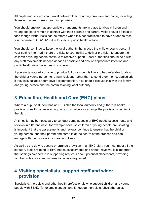All pupils and students can travel between their boarding provision and home, including those who attend weekly boarding provision.

You should ensure that appropriate arrangements are in place to allow children and young people to remain in contact with their parents and carers. Visits should be face-toface though virtual visits can be offered when it is not practicable to have a face-to-face visit because of COVID-19 due to specific public health advice.

You should continue to keep the local authority that placed the child or young person in your setting informed if there are risks to your ability to deliver provision to ensure the children or young people continue to receive support. Local authorities should help with any staff movements needed as far as possible and ensure appropriate infection and public health risks have been considered.

If you are temporarily unable to provide full provision it is likely to be preferable to allow the child or young person to remain resident, rather than to send them home, particularly if they lack suitable alternative accommodation. You should discuss this with the family and young person and the commissioning local authority.

## <span id="page-16-0"></span>**3.Education, Health and Care (EHC) plans**

Where a pupil or student has an EHC plan the local authority and (if there is health provision) health commissioning body must secure or arrange the provision specified in the plan.

At times it may be necessary to conduct some aspects of EHC needs assessments and reviews in different ways, for example because children or young people are isolating. It is important that the assessments and reviews continue to ensure that the child or young person, and their parent and carer, is at the centre of the process and can engage with the process in a meaningful way.

As well as the duty to secure or arrange provision in an EHC plan, you must meet all the statutory duties relating to EHC needs assessments and annual reviews. It is important that settings co-operate in supporting requests about potential placements, providing families with advice and information where requested.

## <span id="page-16-1"></span>**4.Visiting specialists, support staff and wider provision**

Specialists, therapists and other health professionals who support children and young people with SEND (for example speech and language therapists, physiotherapists,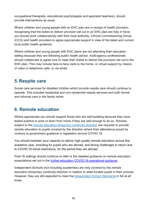occupational therapists, educational psychologists and specialist teachers), should provide interventions as usual.

Where children and young people with an EHC plan are in receipt of health provision, recognising that the duties to deliver provision set out in an EHC plan are fully in force, you should work collaboratively with their local authority, Clinical Commissioning Group (CCG) and health providers to agree appropriate support in view of the latest and current local public health guidance.

Where children and young people with EHC plans are not attending their education setting because they are following public health advice, multi-agency professionals should collaborate to agree how to meet their duties to deliver the provision set out in the EHC plan. This may include face-to-face visits to the home, or virtual support by means of video or telephone calls, or via email.

## <span id="page-17-0"></span>**5. Respite care**

Social care services for disabled children which provide respite care should continue to operate. This includes residential and non-residential respite services and both formal and informal care in the family home.

## <span id="page-17-1"></span>**6. Remote education**

Where appropriate you should support those who are self-isolating because they have tested positive to work or learn from home if they are well enough to do so. Schools subject to the remote education [temporary](https://www.gov.uk/government/publications/remote-education-temporary-continuity-direction-explanatory-note) continuity direction are required to provide remote education to pupils covered by the direction where their attendance would be contrary to government guidance or legislation around COVID-19.

You should maintain your capacity to deliver high quality remote education across this academic year, including for pupils who are abroad, and facing challenges to return due to COVID-19 travel restrictions, for the period they are abroad.

Post-16 settings should continue to refer to the detailed guidance on remote education expectations set out in the [further education COVID-19 operational guidance.](https://www.gov.uk/government/publications/coronavirus-covid-19-maintaining-further-education-provision)

Independent Schools (not including academies) are only covered by the remote education temporary continuity direction in relation to state-funded pupils in their schools. However, they are still expected to meet the [Independent School Standards](https://www.gov.uk/government/publications/regulating-independent-schools) in full at all times.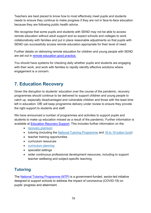Teachers are best placed to know how to most effectively meet pupils and students needs to ensure they continue to make progress if they are not in face-to-face education because they are following public health advice.

We recognise that some pupils and students with SEND may not be able to access remote education without adult support and so expect schools and colleges to work collaboratively with families and put in place reasonable adjustments so that pupils with SEND can successfully access remote education appropriate for their level of need.

Further details on delivering remote education for children and young people with SEND are set out in [remote education good practice.](https://get-help-with-remote-education.education.gov.uk/send.html)

You should have systems for checking daily whether pupils and students are engaging with their work, and work with families to rapidly identify effective solutions where engagement is a concern.

## <span id="page-18-0"></span>**7. Education Recovery**

Given the disruption to students' education over the course of the pandemic, recovery programmes should continue to be delivered to support children and young people to catch up, especially disadvantaged and vulnerable children and those with the least time left in education. DfE will keep programme delivery under review to ensure they provide the right support to students and staff.

We have announced a number of programmes and activities to support pupils and students to make up education missed as a result of the pandemic. Further information is available at [Education Recovery Support.](https://www.gov.uk/government/publications/education-recovery-support) This includes further information on the:

- [recovery premium](https://www.gov.uk/government/publications/recovery-premium-funding/recovery-premium-funding)
- tutoring (including the [National Tutoring Programme](https://nationaltutoring.org.uk/) and [16 to 19 tuition fund\)](https://www.gov.uk/guidance/16-to-19-funding-16-to-19-tuition-fund)
- teacher training opportunities
- curriculum resources
- [curriculum planning](https://www.gov.uk/government/publications/teaching-a-broad-and-balanced-curriculum-for-education-recovery)
- specialist settings
- wider continuous professional development resources, including to support teacher wellbeing and subject-specific teaching

## <span id="page-18-1"></span>**Tutoring**

The [National Tutoring Programme \(NTP\)](https://nationaltutoring.org.uk/) is a government-funded, sector-led initiative designed to support schools to address the impact of coronavirus (COVID-19) on pupils' progress and attainment.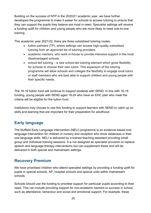Building on the success of NTP in the 2020/21 academic year, we have further developed the programme to make it easier for schools to access tutoring to ensure that they can support the pupils they believe are most in need. Specialist settings will receive a funding uplift for children and young people who are more likely to need one-to-one tutoring.

This academic year 2021/22, there are three subsidised tutoring routes:

- tuition partners (TP), where settings can access high-quality subsidised tutoring from an approved list of tutoring providers.
- academic mentors, who work in-house to provide intensive support in the most disadvantaged schools.
- school-led tutoring a new school-led tutoring element which gives flexibility for schools to choose their own tutors. This expansion of the tutoring programme will allow schools and colleges the flexibility to engage local tutors or staff members who are best able to support children and young people with their specific needs.

The 16-19 tuition fund will continue to support students with SEND. In line with 16-19 funding, young people with SEND aged 19-24 who have an EHC plan who meet the criteria will be eligible for the tuition fund.

Institutions may choose to use this funding to support learners with SEND to catch up on skills and learning that are important for their preparation for adulthood.

## <span id="page-19-0"></span>**Early language**

The Nuffield Early Language Intervention (NELI) programme is an evidence-based oral language intervention for children in nursery and reception who show weakness in their oral language skills. NELI is delivered by a trained teaching assistant providing small group and individual training sessions. It is not designed as specialist provision to replace speech and language therapy interventions but can supplement these and will be delivered in both special and mainstream settings.

#### <span id="page-19-1"></span>**Recovery Premium**

We have prioritised children who attend specialist settings by providing a funding uplift for pupils in special schools, AP, hospital schools and special units within mainstream schools.

Schools should use the funding to prioritise support for particular pupils according to their need. This can include providing support for non-academic barriers to success in school, such as attendance, behaviour and social and emotional support. For example, these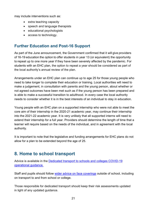may include interventions such as:

- extra teaching capacity
- speech and language therapists
- educational psychologists
- access to technology.

#### <span id="page-20-0"></span>**Further Education and Post-16 Support**

As part of the June announcement, the Government confirmed that it will give providers of 16-19 education the option to offer students in year 13 (or equivalent) the opportunity to repeat up to one more year if they have been severely affected by the pandemic. For students with an EHC plan, the option to repeat a year should be considered as part of the local authority's annual review of the plan.

Arrangements under an EHC plan can continue up to age 25 for those young people who need to take longer to complete their education or training. Local authorities will need to make a judgement, in consultation with parents and the young person, about whether or not agreed outcomes have been met such as if the young person has been prepared and is able to make a successful transition to adulthood. In every case the local authority needs to consider whether it is in the best interests of an individual to stay in education.

Young people with an EHC plan on a supported internship who were not able to meet the core aim of their internship in the 2020-21 academic year, may continue their internship into the 2021-22 academic year. It is very unlikely that all supported interns will need to extend their internship for a full year. Providers should determine the length of time that a learner will require based on the needs of the individual, and in agreement with the local authority.

It is important to note that the legislative and funding arrangements for EHC plans do not allow for a plan to be extended beyond the age of 25.

## <span id="page-20-1"></span>**8. Home to school transport**

Advice is available in the [Dedicated transport to schools and colleges COVID-19](https://www.gov.uk/government/publications/transport-to-school-and-other-places-of-education-autumn-term-2020)  [operational guidance.](https://www.gov.uk/government/publications/transport-to-school-and-other-places-of-education-autumn-term-2020)

Staff and pupils should follow [wider advice on face coverings](https://www.gov.uk/government/publications/face-coverings-when-to-wear-one-and-how-to-make-your-own/face-coverings-when-to-wear-one-and-how-to-make-your-own) outside of school, including on transport to and from school or college.

Those responsible for dedicated transport should keep their risk assessments updated in light of any updated guidance.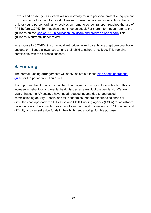Drivers and passenger assistants will not normally require personal protective equipment (PPE) on home to school transport. However, where the care and interventions that a child or young person ordinarily receives on home to school transport required the use of PPE before COIVD-19, that should continue as usual. For more information, refer to the guidance on the [Use of PPE in education, childcare and children's social care](https://www.gov.uk/government/publications/safe-working-in-education-childcare-and-childrens-social-care) This guidance is currently under review.

In response to COVID-19, some local authorities asked parents to accept personal travel budgets or mileage allowances to take their child to school or college. This remains permissible with the parent's consent.

## <span id="page-21-0"></span>**9. Funding**

The normal funding arrangements will apply, as set out in the [high needs operational](https://www.gov.uk/government/publications/high-needs-funding-arrangements-2021-to-2022)  [guide](https://www.gov.uk/government/publications/high-needs-funding-arrangements-2021-to-2022) for the period from April 2021.

It is important that AP settings maintain their capacity to support local schools with any increase in behaviour and mental health issues as a result of the pandemic. We are aware that some AP settings have faced reduced income due to decreased commissioning activity. Special and AP academies that are experiencing financial difficulties can approach the Education and Skills Funding Agency (ESFA) for assistance. Local authorities have similar processes to support pupil referral units (PRUs) in financial difficulty and can set aside funds in their high needs budget for this purpose.